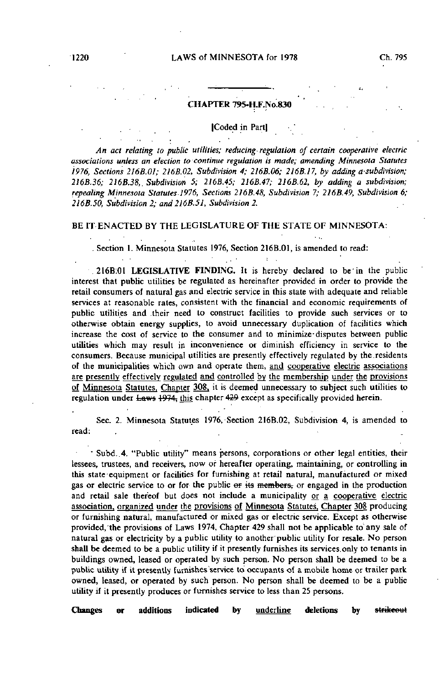### CHAPTER 795-H.F.N0.830

#### Coded in Partl

An act relating to public utilities; reducing-regulation of certain cooperative electric associations unless an election to continue regulation is made; amending Minnesota Statutes 1976, Sections 216B.OI; 216B.02, Subdivision 4; 216B.06; 216B.17, by adding a subdivision; 216B.36; 216B.38,. Subdivision 5; 2J6B.45; 216B.47; 216B.62, by adding a subdivision; repealing Minnesota Statutes 1976, Sections 216B.48, Subdivision 7; 2I6B.49, Subdivision 6; 216B.50, Subdivision 2; and 216B.5J, Subdivision 2.

### BE IT ENACTED BY THE LEGISLATURE OF THE STATE OF MINNESOTA:

. Section 1. Minnesota Statutes 1976, Section 216B.01, is amended to read:

 $\sim$ 

216B;01 LEGISLATIVE FINDING. It is hereby declared to be'in the public interest that public utilities be regulated as hereinafter provided in order to provide the retail consumers of natural gas and electric service in this state with adequate and reliable services at reasonable rates, consistent with the financial and economic requirements of public utilities and .their need to construct facilities to provide such services or to otherwise obtain energy supplies, to avoid unnecessary duplication of facilities which increase the cost of service to the consumer and to minimize-disputes between public utilities which may result in inconvenience or diminish efficiency in service to the consumers. Because municipal utilities are presently effectively regulated by the.residents of the municipalities which own and operate them, and cooperative electric associations are presently effectively regulated and controlled by the membership under the provisions of Minnesota Statutes, Chapter 308, it is deemed unnecessary to subject such utilities to regulation under Laws 1974; this chapter 429 except as specifically provided herein.

Sec. 2. Minnesota Statutes 1976, Section 216B.02, Subdivision 4, is amended to read:

• Subd. 4. "Public utility" means persons, corporations or other'legal entities, their lessees, trustees, and receivers, now or hereafter operating, maintaining, or controlling in this state'equipment or facilities for furnishing at retail natural, manufactured or mixed gas or electric service to or for the public or its members, or engaged in the production and retail sale thereof but does not include a municipality or a cooperative electric association, organized under the provisions of Minnesota Statutes, Chapter 308 producing or furnishing natural, manufactured or mixed gas or electric service. Except as otherwise provided, the provisions of Laws 1974, Chapter 429 shall not be applicable to any sale of natural gas or electricity by a public utility to another'public utility for resale. No person shall be deemed to be a public utility if it presently furnishes its services.only to tenants in buildings owned, leased or operated by such person. No person shall be deemed to be a public utility if it presently furnishes'service to occupants of a mobile home or trailer park owned, leased, or operated by such person. No person shall be deemed to be a public utility if it presently produces or furnishes service to less than 25 persons.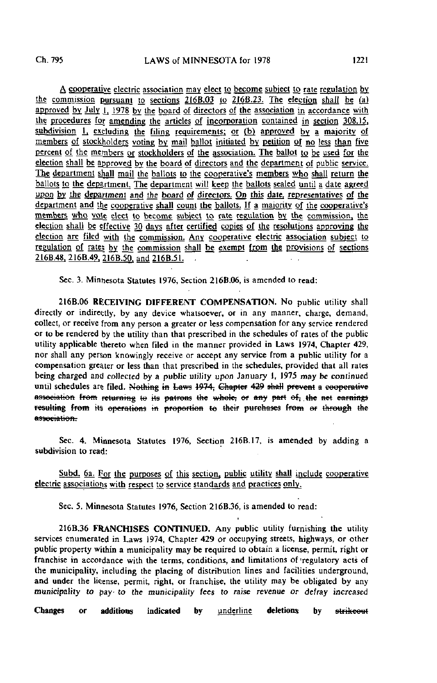A cooperative electric association may elect to become subject to rate regulation by the commission pursuant to sections 216B.03 to 216B.23. The election shall be (a] approved by July  $\parallel$ , 1978 by the board of directors of the association in accordance with the procedures for amending the articles of incorporation contained in section 308.15, subdivision 1, excluding the filing requirements; or (b) approved by a majority of members of stockholders voting by mail ballot initiated by petition of no less than five percent of the members or stockholders of the association. The ballot to be used for the election shall be approved by the board of directors and the department of public service. The department shall mail the ballots to the cooperative's members who shall return the ballots to the department. The department will keep the ballots sealed until a date agreed upon by the department and the board of directors. On this date, representatives of the department and the cooperative shall count the ballots. If a majority of the cooperative's members who vote elect to become subject to rate regulation by the commission, the election shall be effective 30 days after certified copies of the resolutions approving the election are filed with the commission. Any cooperative electric association subject to regulation of rates by the commission shall be exempt from the provisions of sections 216B.48, 216B.49, 216B.50, and 216B.51.

Sec. 3. Minnesota Statutes 1976, Section 216B.06, is amended to read:

216B.06 RECEIVING DIFFERENT COMPENSATION. No public utility shall directly or indirectly, by any device whatsoever, or in any manner, charge, demand, collect, or receive from any person a greater or less compensation for any service rendered or to be rendered by the utility than that prescribed in the schedules of rates of the public utility applicable thereto when filed in the manner provided in Laws 1974, Chapter 429, nor shall any person knowingly receive or accept any service from a public utility for a compensation greater or less than that prescribed in the schedules, provided that all rates being charged and collected by a public utility upon January 1, 1975 may be continued until schedules are filed. Nothing in Laws 1974; Chapter 429 shall prevent a cooperative association from returning to its patrons the whole, or any part of, the net earnings resulting from its operations in proportion to their purchases from or through the association.

Sec. 4. Minnesota Statutes 1976, Section 216B.17, is amended by adding a subdivision to read:

Subd. 6a. For the purposes of this section, public utility shall include cooperative electric associations with respect to service standards and practices only.

Sec. 5. Minnesota Statutes 1976, Section 216B.36, is amended to read:

216B.36 FRANCHISES CONTINUED. Any public utility furnishing the utility services enumerated in Laws 1974, Chapter 429 or occupying streets, highways, or other public property within a municipality may be required to obtain a license, permit, right or franchise in accordance with the terms, conditions, and limitations of'regulatory acts of the municipality, including the placing of distribution lines and facilities underground, and under the license, permit, right, or franchise, the utility may be obligated by any municipality to pay- to the municipality fees to raise revenue or defray increased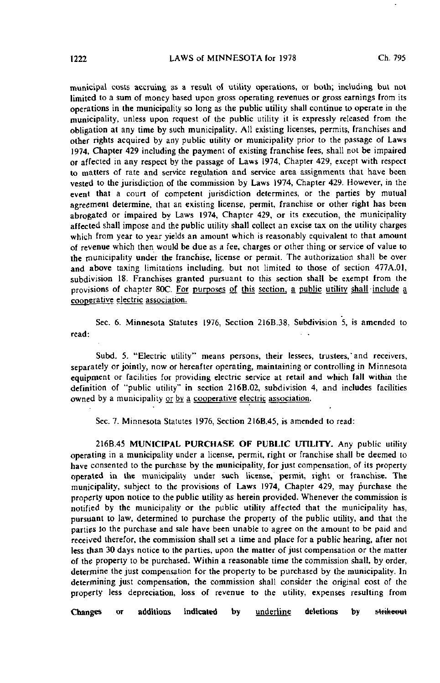municipal costs accruing as a result of utility operations, or both; including but not limited to a sum of money based upon gross operating revenues or gross earnings from its operations in the municipality so long as the public utility shall continue to operate in the municipality, unless upon request of the public utility it is expressly released from the obligation at any time by such municipality. All existing licenses, permits, franchises and other rights acquired by any public utility or municipality prior to the passage of Laws 1974, Chapter 429 including the payment of existing franchise fees, shall not be impaired or affected in any respect by the passage of Laws 1974, Chapter 429, except with respect to matters of rate and service regulation and service area assignments that have been vested to the jurisdiction of the commission by Laws 1974, Chapter 429. However, in the event that a court of competent jurisdiction determines, or the parties by mutual agreement determine, that an existing license, permit, franchise or other right has been abrogated or impaired by Laws 1974, Chapter 429, or its execution, the municipality affected shall impose and the public utility shall collect an excise tax on the utility charges which from year to year yields an amount which is reasonably equivalent to that amount of revenue which then would be due as a fee, charges or other thing or service of value to the municipality under the franchise, license or permit. The authorization shall be over and above taxing limitations including, but not limited to those of section 477A.01, subdivision 18. Franchises granted pursuant to this section shall be exempt from the provisions of chapter 80C. For purposes of this section, a public utility shall include a cooperative electric association.

Sec. 6. Minnesota Statutes 1976, Section 216B.38, Subdivision 5, is amended to read:

Subd. 5. "Electric utility" means persons, their lessees, trustees, and receivers, separately or jointly, now or hereafter operating, maintaining or controlling in Minnesota equipment or facilities for providing electric service at retail and which fall within the definition of "public utility" in section 216B.02, subdivision 4, and includes facilities owned by a municipality or by a cooperative electric association.

Sec. 7. Minnesota Statutes 1976, Section 2I6B.45, is amended to read:

216B.45 MUNICIPAL PURCHASE OF PUBLIC UTILITY. Any public utility operating in a municipality under a license, permit, right or franchise shall be deemed to have consented to the purchase by the municipality, for just compensation, of its property operated in the municipality under such license, permit, right or franchise. The municipality, subject to the provisions of Laws 1974, Chapter 429, may purchase the property upon notice to the public utility as herein provided. Whenever the commission is notified by the municipality or the public utility affected that the municipality has, pursuant to law, determined to purchase the property of the public utility, and that the parties to the purchase and sale have been unable to agree on the amount to be paid and received therefor, the commission shall set a time and place for a public hearing, after not less than 30 days notice to the parties, upon the matter of just compensation or the matter of the property to be purchased. Within a reasonable time the commission shall, by order, determine the just compensation for the property to be purchased by the municipality. In determining just compensation, the commission shall consider the original cost of the property less depreciation, loss of revenue to the utility, expenses resulting from